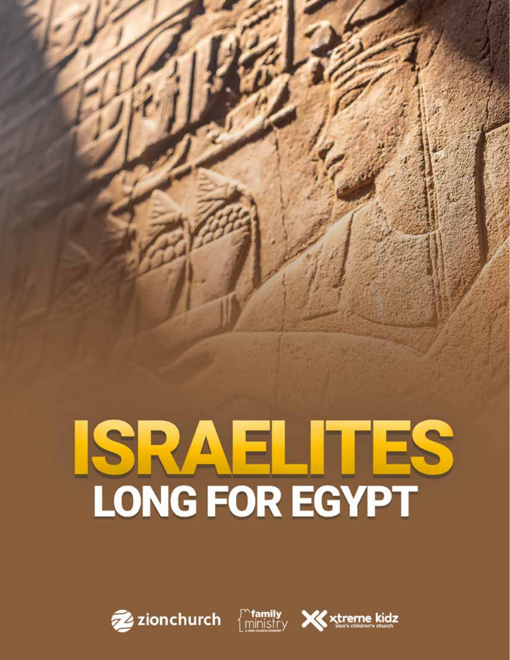# ISRAEL ITES